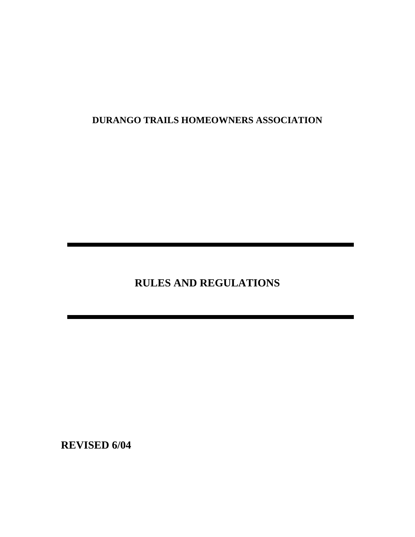# **DURANGO TRAILS HOMEOWNERS ASSOCIATION**

**RULES AND REGULATIONS** 

**REVISED 6/04**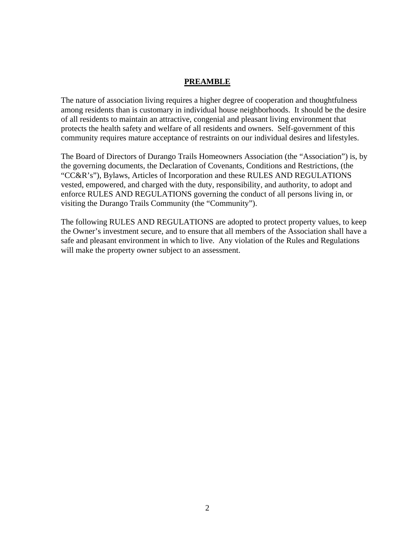### **PREAMBLE**

The nature of association living requires a higher degree of cooperation and thoughtfulness among residents than is customary in individual house neighborhoods. It should be the desire of all residents to maintain an attractive, congenial and pleasant living environment that protects the health safety and welfare of all residents and owners. Self-government of this community requires mature acceptance of restraints on our individual desires and lifestyles.

The Board of Directors of Durango Trails Homeowners Association (the "Association") is, by the governing documents, the Declaration of Covenants, Conditions and Restrictions, (the "CC&R's"), Bylaws, Articles of Incorporation and these RULES AND REGULATIONS vested, empowered, and charged with the duty, responsibility, and authority, to adopt and enforce RULES AND REGULATIONS governing the conduct of all persons living in, or visiting the Durango Trails Community (the "Community").

The following RULES AND REGULATIONS are adopted to protect property values, to keep the Owner's investment secure, and to ensure that all members of the Association shall have a safe and pleasant environment in which to live. Any violation of the Rules and Regulations will make the property owner subject to an assessment.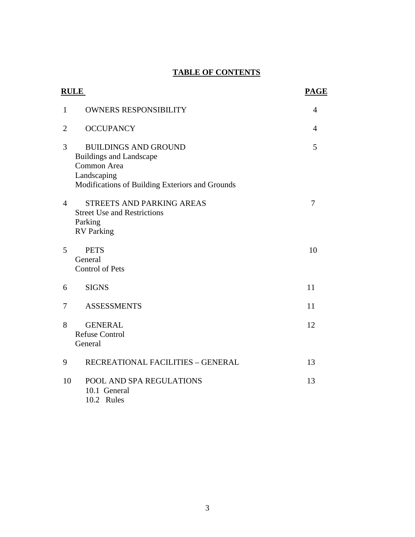# **TABLE OF CONTENTS**

| <b>RULE</b>    |                                                                                                                                                | <b>PAGE</b>    |
|----------------|------------------------------------------------------------------------------------------------------------------------------------------------|----------------|
| $\mathbf{1}$   | <b>OWNERS RESPONSIBILITY</b>                                                                                                                   | 4              |
| $\overline{2}$ | <b>OCCUPANCY</b>                                                                                                                               | $\overline{4}$ |
| 3              | <b>BUILDINGS AND GROUND</b><br><b>Buildings and Landscape</b><br>Common Area<br>Landscaping<br>Modifications of Building Exteriors and Grounds | 5              |
| 4              | <b>STREETS AND PARKING AREAS</b><br><b>Street Use and Restrictions</b><br>Parking<br><b>RV</b> Parking                                         | 7              |
| 5              | <b>PETS</b><br>General<br><b>Control of Pets</b>                                                                                               | 10             |
| 6              | <b>SIGNS</b>                                                                                                                                   | 11             |
| 7              | <b>ASSESSMENTS</b>                                                                                                                             | 11             |
| 8              | <b>GENERAL</b><br><b>Refuse Control</b><br>General                                                                                             | 12             |
| 9              | RECREATIONAL FACILITIES - GENERAL                                                                                                              | 13             |
| 10             | POOL AND SPA REGULATIONS<br>10.1 General<br>10.2 Rules                                                                                         | 13             |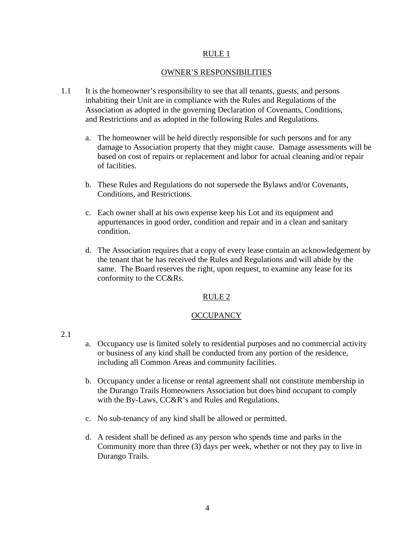#### OWNER'S RESPONSIBILITIES

- 1.1 It is the homeowner's responsibility to see that all tenants, guests, and persons inhabiting their Unit are in compliance with the Rules and Regulations of the Association as adopted in the governing Declaration of Covenants, Conditions, and Restrictions and as adopted in the following Rules and Regulations.
	- a. The homeowner will be held directly responsible for such persons and for any damage to Association property that they might cause. Damage assessments will be based on cost of repairs or replacement and labor for actual cleaning and/or repair of facilities.
	- b. These Rules and Regulations do not supersede the Bylaws and/or Covenants, Conditions, and Restrictions.
	- c. Each owner shall at his own expense keep his Lot and its equipment and appurtenances in good order, condition and repair and in a clean and sanitary condition.
	- d. The Association requires that a copy of every lease contain an acknowledgement by the tenant that he has received the Rules and Regulations and will abide by the same. The Board reserves the right, upon request, to examine any lease for its conformity to the CC&Rs.

### RULE 2

### **OCCUPANCY**

- 2.1
- a. Occupancy use is limited solely to residential purposes and no commercial activity or business of any kind shall be conducted from any portion of the residence, including all Common Areas and community facilities.
- b. Occupancy under a license or rental agreement shall not constitute membership in the Durango Trails Homeowners Association but does bind occupant to comply with the By-Laws, CC&R's and Rules and Regulations.
- c. No sub-tenancy of any kind shall be allowed or permitted.
- d. A resident shall be defined as any person who spends time and parks in the Community more than three (3) days per week, whether or not they pay to live in Durango Trails.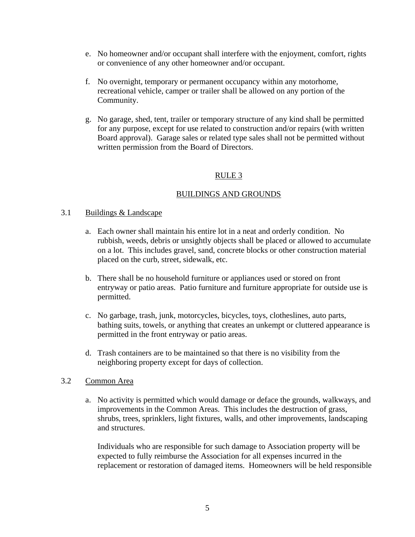- e. No homeowner and/or occupant shall interfere with the enjoyment, comfort, rights or convenience of any other homeowner and/or occupant.
- f. No overnight, temporary or permanent occupancy within any motorhome, recreational vehicle, camper or trailer shall be allowed on any portion of the Community.
- g. No garage, shed, tent, trailer or temporary structure of any kind shall be permitted for any purpose, except for use related to construction and/or repairs (with written Board approval). Garage sales or related type sales shall not be permitted without written permission from the Board of Directors.

### BUILDINGS AND GROUNDS

### 3.1 Buildings & Landscape

- a. Each owner shall maintain his entire lot in a neat and orderly condition. No rubbish, weeds, debris or unsightly objects shall be placed or allowed to accumulate on a lot. This includes gravel, sand, concrete blocks or other construction material placed on the curb, street, sidewalk, etc.
- b. There shall be no household furniture or appliances used or stored on front entryway or patio areas. Patio furniture and furniture appropriate for outside use is permitted.
- c. No garbage, trash, junk, motorcycles, bicycles, toys, clotheslines, auto parts, bathing suits, towels, or anything that creates an unkempt or cluttered appearance is permitted in the front entryway or patio areas.
- d. Trash containers are to be maintained so that there is no visibility from the neighboring property except for days of collection.

### 3.2 Common Area

a. No activity is permitted which would damage or deface the grounds, walkways, and improvements in the Common Areas. This includes the destruction of grass, shrubs, trees, sprinklers, light fixtures, walls, and other improvements, landscaping and structures.

Individuals who are responsible for such damage to Association property will be expected to fully reimburse the Association for all expenses incurred in the replacement or restoration of damaged items. Homeowners will be held responsible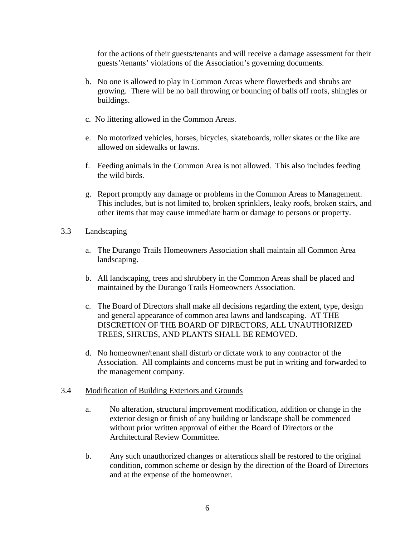for the actions of their guests/tenants and will receive a damage assessment for their guests'/tenants' violations of the Association's governing documents.

- b. No one is allowed to play in Common Areas where flowerbeds and shrubs are growing. There will be no ball throwing or bouncing of balls off roofs, shingles or buildings.
- c. No littering allowed in the Common Areas.
- e. No motorized vehicles, horses, bicycles, skateboards, roller skates or the like are allowed on sidewalks or lawns.
- f. Feeding animals in the Common Area is not allowed. This also includes feeding the wild birds.
- g. Report promptly any damage or problems in the Common Areas to Management. This includes, but is not limited to, broken sprinklers, leaky roofs, broken stairs, and other items that may cause immediate harm or damage to persons or property.
- 3.3 Landscaping
	- a. The Durango Trails Homeowners Association shall maintain all Common Area landscaping.
	- b. All landscaping, trees and shrubbery in the Common Areas shall be placed and maintained by the Durango Trails Homeowners Association.
	- c. The Board of Directors shall make all decisions regarding the extent, type, design and general appearance of common area lawns and landscaping. AT THE DISCRETION OF THE BOARD OF DIRECTORS, ALL UNAUTHORIZED TREES, SHRUBS, AND PLANTS SHALL BE REMOVED.
	- d. No homeowner/tenant shall disturb or dictate work to any contractor of the Association. All complaints and concerns must be put in writing and forwarded to the management company.

### 3.4 Modification of Building Exteriors and Grounds

- a. No alteration, structural improvement modification, addition or change in the exterior design or finish of any building or landscape shall be commenced without prior written approval of either the Board of Directors or the Architectural Review Committee.
- b. Any such unauthorized changes or alterations shall be restored to the original condition, common scheme or design by the direction of the Board of Directors and at the expense of the homeowner.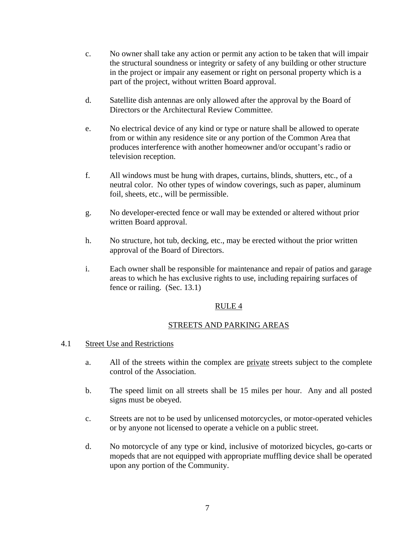- c. No owner shall take any action or permit any action to be taken that will impair the structural soundness or integrity or safety of any building or other structure in the project or impair any easement or right on personal property which is a part of the project, without written Board approval.
- d. Satellite dish antennas are only allowed after the approval by the Board of Directors or the Architectural Review Committee.
- e. No electrical device of any kind or type or nature shall be allowed to operate from or within any residence site or any portion of the Common Area that produces interference with another homeowner and/or occupant's radio or television reception.
- f. All windows must be hung with drapes, curtains, blinds, shutters, etc., of a neutral color. No other types of window coverings, such as paper, aluminum foil, sheets, etc., will be permissible.
- g. No developer-erected fence or wall may be extended or altered without prior written Board approval.
- h. No structure, hot tub, decking, etc., may be erected without the prior written approval of the Board of Directors.
- i. Each owner shall be responsible for maintenance and repair of patios and garage areas to which he has exclusive rights to use, including repairing surfaces of fence or railing. (Sec. 13.1)

### STREETS AND PARKING AREAS

### 4.1 Street Use and Restrictions

- a. All of the streets within the complex are private streets subject to the complete control of the Association.
- b. The speed limit on all streets shall be 15 miles per hour. Any and all posted signs must be obeyed.
- c. Streets are not to be used by unlicensed motorcycles, or motor-operated vehicles or by anyone not licensed to operate a vehicle on a public street.
- d. No motorcycle of any type or kind, inclusive of motorized bicycles, go-carts or mopeds that are not equipped with appropriate muffling device shall be operated upon any portion of the Community.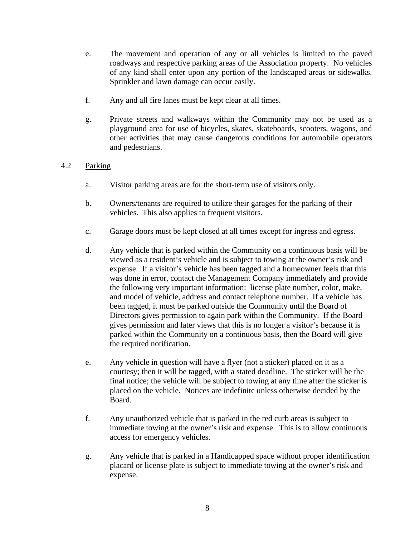- e. The movement and operation of any or all vehicles is limited to the paved roadways and respective parking areas of the Association property. No vehicles of any kind shall enter upon any portion of the landscaped areas or sidewalks. Sprinkler and lawn damage can occur easily.
- f. Any and all fire lanes must be kept clear at all times.
- g. Private streets and walkways within the Community may not be used as a playground area for use of bicycles, skates, skateboards, scooters, wagons, and other activities that may cause dangerous conditions for automobile operators and pedestrians.

### 4.2 Parking

- a. Visitor parking areas are for the short-term use of visitors only.
- b. Owners/tenants are required to utilize their garages for the parking of their vehicles. This also applies to frequent visitors.
- c. Garage doors must be kept closed at all times except for ingress and egress.
- d. Any vehicle that is parked within the Community on a continuous basis will be viewed as a resident's vehicle and is subject to towing at the owner's risk and expense. If a visitor's vehicle has been tagged and a homeowner feels that this was done in error, contact the Management Company immediately and provide the following very important information: license plate number, color, make, and model of vehicle, address and contact telephone number. If a vehicle has been tagged, it must be parked outside the Community until the Board of Directors gives permission to again park within the Community. If the Board gives permission and later views that this is no longer a visitor's because it is parked within the Community on a continuous basis, then the Board will give the required notification.
- e. Any vehicle in question will have a flyer (not a sticker) placed on it as a courtesy; then it will be tagged, with a stated deadline. The sticker will be the final notice; the vehicle will be subject to towing at any time after the sticker is placed on the vehicle. Notices are indefinite unless otherwise decided by the Board.
- f. Any unauthorized vehicle that is parked in the red curb areas is subject to immediate towing at the owner's risk and expense. This is to allow continuous access for emergency vehicles.
- g. Any vehicle that is parked in a Handicapped space without proper identification placard or license plate is subject to immediate towing at the owner's risk and expense.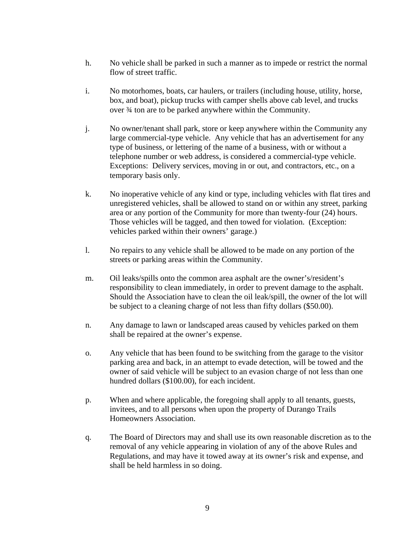- h. No vehicle shall be parked in such a manner as to impede or restrict the normal flow of street traffic.
- i. No motorhomes, boats, car haulers, or trailers (including house, utility, horse, box, and boat), pickup trucks with camper shells above cab level, and trucks over ¾ ton are to be parked anywhere within the Community.
- j. No owner/tenant shall park, store or keep anywhere within the Community any large commercial-type vehicle. Any vehicle that has an advertisement for any type of business, or lettering of the name of a business, with or without a telephone number or web address, is considered a commercial-type vehicle. Exceptions: Delivery services, moving in or out, and contractors, etc., on a temporary basis only.
- k. No inoperative vehicle of any kind or type, including vehicles with flat tires and unregistered vehicles, shall be allowed to stand on or within any street, parking area or any portion of the Community for more than twenty-four (24) hours. Those vehicles will be tagged, and then towed for violation. (Exception: vehicles parked within their owners' garage.)
- l. No repairs to any vehicle shall be allowed to be made on any portion of the streets or parking areas within the Community.
- m. Oil leaks/spills onto the common area asphalt are the owner's/resident's responsibility to clean immediately, in order to prevent damage to the asphalt. Should the Association have to clean the oil leak/spill, the owner of the lot will be subject to a cleaning charge of not less than fifty dollars (\$50.00).
- n. Any damage to lawn or landscaped areas caused by vehicles parked on them shall be repaired at the owner's expense.
- o. Any vehicle that has been found to be switching from the garage to the visitor parking area and back, in an attempt to evade detection, will be towed and the owner of said vehicle will be subject to an evasion charge of not less than one hundred dollars (\$100.00), for each incident.
- p. When and where applicable, the foregoing shall apply to all tenants, guests, invitees, and to all persons when upon the property of Durango Trails Homeowners Association.
- q. The Board of Directors may and shall use its own reasonable discretion as to the removal of any vehicle appearing in violation of any of the above Rules and Regulations, and may have it towed away at its owner's risk and expense, and shall be held harmless in so doing.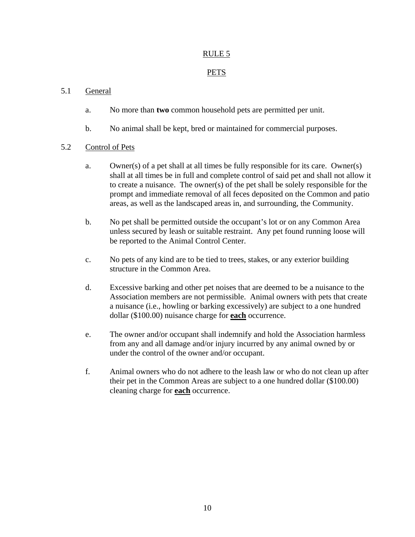## **PETS**

## 5.1 General

- a. No more than **two** common household pets are permitted per unit.
- b. No animal shall be kept, bred or maintained for commercial purposes.

### 5.2 Control of Pets

- a. Owner(s) of a pet shall at all times be fully responsible for its care. Owner(s) shall at all times be in full and complete control of said pet and shall not allow it to create a nuisance. The owner(s) of the pet shall be solely responsible for the prompt and immediate removal of all feces deposited on the Common and patio areas, as well as the landscaped areas in, and surrounding, the Community.
- b. No pet shall be permitted outside the occupant's lot or on any Common Area unless secured by leash or suitable restraint. Any pet found running loose will be reported to the Animal Control Center.
- c. No pets of any kind are to be tied to trees, stakes, or any exterior building structure in the Common Area.
- d. Excessive barking and other pet noises that are deemed to be a nuisance to the Association members are not permissible. Animal owners with pets that create a nuisance (i.e., howling or barking excessively) are subject to a one hundred dollar (\$100.00) nuisance charge for **each** occurrence.
- e. The owner and/or occupant shall indemnify and hold the Association harmless from any and all damage and/or injury incurred by any animal owned by or under the control of the owner and/or occupant.
- f. Animal owners who do not adhere to the leash law or who do not clean up after their pet in the Common Areas are subject to a one hundred dollar (\$100.00) cleaning charge for **each** occurrence.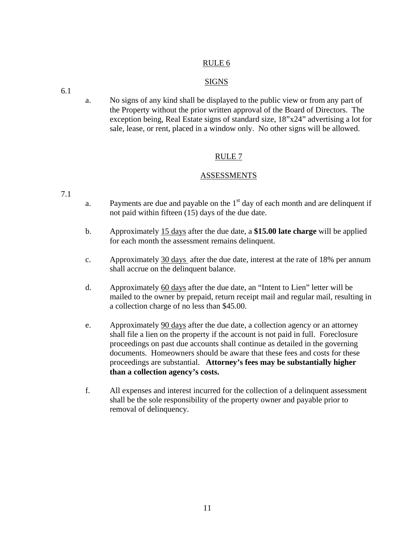### **SIGNS**

6.1

a. No signs of any kind shall be displayed to the public view or from any part of the Property without the prior written approval of the Board of Directors. The exception being, Real Estate signs of standard size, 18"x24" advertising a lot for sale, lease, or rent, placed in a window only. No other signs will be allowed.

### RULE 7

### **ASSESSMENTS**

7.1

- a. Payments are due and payable on the  $1<sup>st</sup>$  day of each month and are delinquent if not paid within fifteen (15) days of the due date.
- b. Approximately 15 days after the due date, a **\$15.00 late charge** will be applied for each month the assessment remains delinquent.
- c. Approximately 30 days after the due date, interest at the rate of 18% per annum shall accrue on the delinquent balance.
- d. Approximately 60 days after the due date, an "Intent to Lien" letter will be mailed to the owner by prepaid, return receipt mail and regular mail, resulting in a collection charge of no less than \$45.00.
- e. Approximately 90 days after the due date, a collection agency or an attorney shall file a lien on the property if the account is not paid in full. Foreclosure proceedings on past due accounts shall continue as detailed in the governing documents. Homeowners should be aware that these fees and costs for these proceedings are substantial. **Attorney's fees may be substantially higher than a collection agency's costs.**
- f. All expenses and interest incurred for the collection of a delinquent assessment shall be the sole responsibility of the property owner and payable prior to removal of delinquency.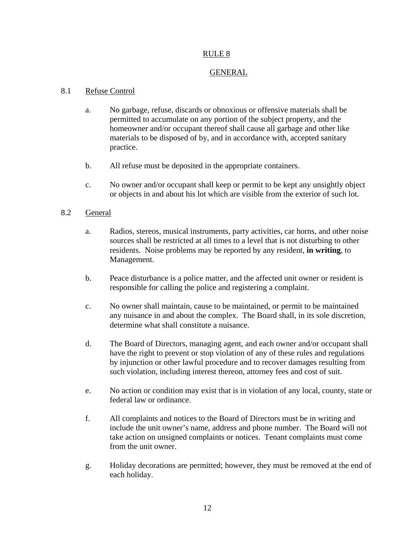### GENERAL

### 8.1 Refuse Control

- a. No garbage, refuse, discards or obnoxious or offensive materials shall be permitted to accumulate on any portion of the subject property, and the homeowner and/or occupant thereof shall cause all garbage and other like materials to be disposed of by, and in accordance with, accepted sanitary practice.
- b. All refuse must be deposited in the appropriate containers.
- c. No owner and/or occupant shall keep or permit to be kept any unsightly object or objects in and about his lot which are visible from the exterior of such lot.

### 8.2 General

- a. Radios, stereos, musical instruments, party activities, car horns, and other noise sources shall be restricted at all times to a level that is not disturbing to other residents. Noise problems may be reported by any resident, **in writing**, to Management.
- b. Peace disturbance is a police matter, and the affected unit owner or resident is responsible for calling the police and registering a complaint.
- c. No owner shall maintain, cause to be maintained, or permit to be maintained any nuisance in and about the complex. The Board shall, in its sole discretion, determine what shall constitute a nuisance.
- d. The Board of Directors, managing agent, and each owner and/or occupant shall have the right to prevent or stop violation of any of these rules and regulations by injunction or other lawful procedure and to recover damages resulting from such violation, including interest thereon, attorney fees and cost of suit.
- e. No action or condition may exist that is in violation of any local, county, state or federal law or ordinance.
- f. All complaints and notices to the Board of Directors must be in writing and include the unit owner's name, address and phone number. The Board will not take action on unsigned complaints or notices. Tenant complaints must come from the unit owner.
- g. Holiday decorations are permitted; however, they must be removed at the end of each holiday.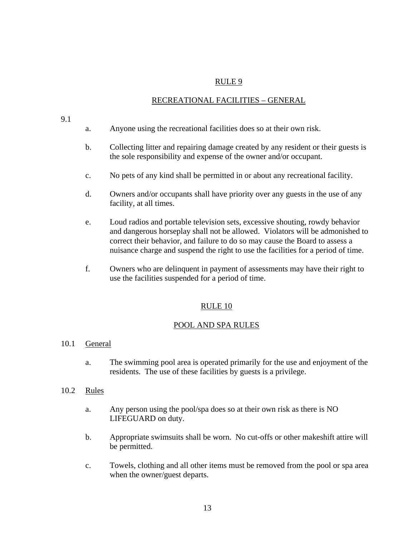### RECREATIONAL FACILITIES – GENERAL

#### 9.1

- a. Anyone using the recreational facilities does so at their own risk.
- b. Collecting litter and repairing damage created by any resident or their guests is the sole responsibility and expense of the owner and/or occupant.
- c. No pets of any kind shall be permitted in or about any recreational facility.
- d. Owners and/or occupants shall have priority over any guests in the use of any facility, at all times.
- e. Loud radios and portable television sets, excessive shouting, rowdy behavior and dangerous horseplay shall not be allowed. Violators will be admonished to correct their behavior, and failure to do so may cause the Board to assess a nuisance charge and suspend the right to use the facilities for a period of time.
- f. Owners who are delinquent in payment of assessments may have their right to use the facilities suspended for a period of time.

### RULE 10

#### POOL AND SPA RULES

#### 10.1 General

a. The swimming pool area is operated primarily for the use and enjoyment of the residents. The use of these facilities by guests is a privilege.

#### 10.2 Rules

- a. Any person using the pool/spa does so at their own risk as there is NO LIFEGUARD on duty.
- b. Appropriate swimsuits shall be worn. No cut-offs or other makeshift attire will be permitted.
- c. Towels, clothing and all other items must be removed from the pool or spa area when the owner/guest departs.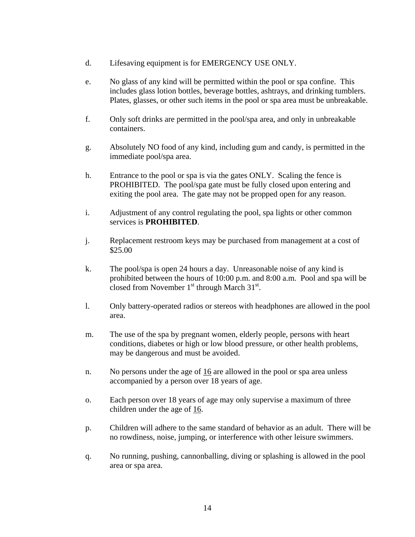- d. Lifesaving equipment is for EMERGENCY USE ONLY.
- e. No glass of any kind will be permitted within the pool or spa confine. This includes glass lotion bottles, beverage bottles, ashtrays, and drinking tumblers. Plates, glasses, or other such items in the pool or spa area must be unbreakable.
- f. Only soft drinks are permitted in the pool/spa area, and only in unbreakable containers.
- g. Absolutely NO food of any kind, including gum and candy, is permitted in the immediate pool/spa area.
- h. Entrance to the pool or spa is via the gates ONLY. Scaling the fence is PROHIBITED. The pool/spa gate must be fully closed upon entering and exiting the pool area. The gate may not be propped open for any reason.
- i. Adjustment of any control regulating the pool, spa lights or other common services is **PROHIBITED**.
- j. Replacement restroom keys may be purchased from management at a cost of \$25.00
- k. The pool/spa is open 24 hours a day. Unreasonable noise of any kind is prohibited between the hours of 10:00 p.m. and 8:00 a.m. Pool and spa will be closed from November  $1<sup>st</sup>$  through March  $31<sup>st</sup>$ .
- l. Only battery-operated radios or stereos with headphones are allowed in the pool area.
- m. The use of the spa by pregnant women, elderly people, persons with heart conditions, diabetes or high or low blood pressure, or other health problems, may be dangerous and must be avoided.
- n. No persons under the age of 16 are allowed in the pool or spa area unless accompanied by a person over 18 years of age.
- o. Each person over 18 years of age may only supervise a maximum of three children under the age of 16.
- p. Children will adhere to the same standard of behavior as an adult. There will be no rowdiness, noise, jumping, or interference with other leisure swimmers.
- q. No running, pushing, cannonballing, diving or splashing is allowed in the pool area or spa area.